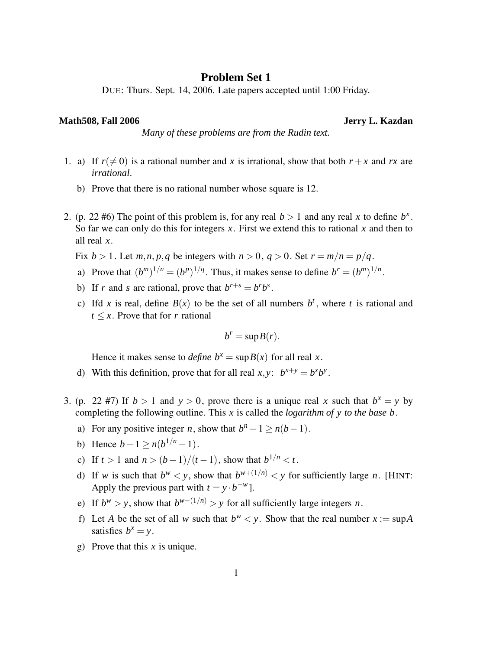## **Problem Set 1**

DUE: Thurs. Sept. 14, 2006. Late papers accepted until 1:00 Friday.

## **Math508, Fall 2006 Jerry L. Kazdan**

*Many of these problems are from the Rudin text.*

- 1. a) If  $r(\neq 0)$  is a rational number and *x* is irrational, show that both  $r + x$  and *rx* are *irrational*.
	- b) Prove that there is no rational number whose square is 12.
- 2. (p. 22 #6) The point of this problem is, for any real  $b > 1$  and any real x to define  $b^x$ . So far we can only do this for integers *x*. First we extend this to rational *x* and then to all real *x*.

Fix  $b > 1$ . Let  $m, n, p, q$  be integers with  $n > 0$ ,  $q > 0$ . Set  $r = m/n = p/q$ .

- a) Prove that  $(b^m)^{1/n} = (b^p)^{1/q}$ . Thus, it makes sense to define  $b^r = (b^m)^{1/n}$ .
- b) If *r* and *s* are rational, prove that  $b^{r+s} = b^r b^s$ .
- c) Ifd *x* is real, define  $B(x)$  to be the set of all numbers  $b^t$ , where *t* is rational and  $t \leq x$ . Prove that for *r* rational

$$
b^r = \sup B(r).
$$

Hence it makes sense to *define*  $b^x = \sup B(x)$  for all real *x*.

- d) With this definition, prove that for all real  $x, y$ :  $b^{x+y} = b^x b^y$ .
- 3. (p. 22 #7) If  $b > 1$  and  $y > 0$ , prove there is a unique real x such that  $b^x = y$  by completing the following outline. This *x* is called the *logarithm of y to the base b*.
	- a) For any positive integer *n*, show that  $b^n 1 \ge n(b-1)$ .
	- b) Hence  $b-1 \ge n(b^{1/n}-1)$ .
	- c) If  $t > 1$  and  $n > (b-1)/(t-1)$ , show that  $b^{1/n} < t$ .
	- d) If *w* is such that  $b^w < y$ , show that  $b^{w+(1/n)} < y$  for sufficiently large *n*. [HINT: Apply the previous part with  $t = y \cdot b^{-w}$ .
	- e) If  $b^w > y$ , show that  $b^{w-(1/n)} > y$  for all sufficiently large integers *n*.
	- f) Let *A* be the set of all *w* such that  $b^w < y$ . Show that the real number  $x := \sup A$ satisfies  $b^x = y$ .
	- g) Prove that this *x* is unique.